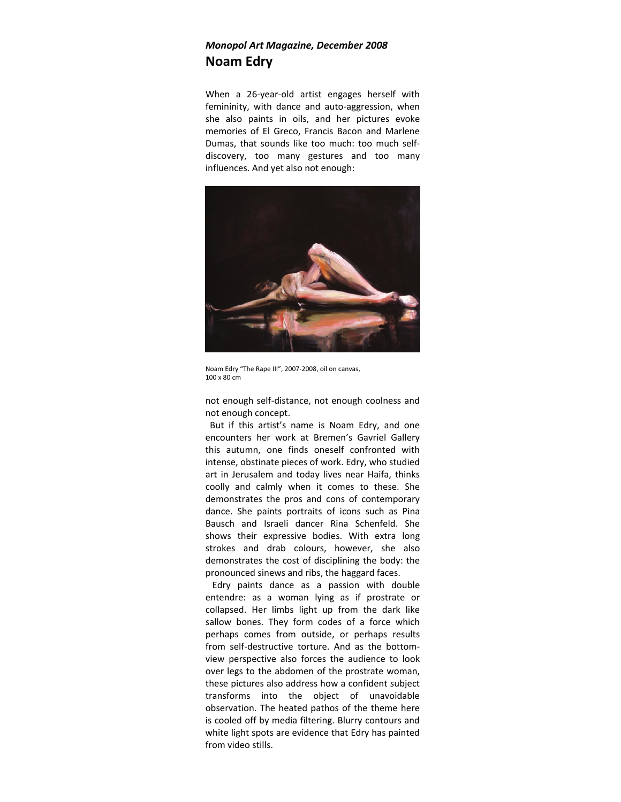## *Monopol Art Magazine, December 2008* **Noam Edry**

When a 26-year-old artist engages herself with femininity, with dance and auto-aggression, when she also paints in oils, and her pictures evoke memories of El Greco, Francis Bacon and Marlene Dumas, that sounds like too much: too much self‐ discovery, too many gestures and too many influences. And yet also not enough:



Noam Edry "The Rape III", 2007‐2008, oil on canvas, 100 x 80 cm

not enough self‐distance, not enough coolness and not enough concept.

 But if this artist's name is Noam Edry, and one encounters her work at Bremen's Gavriel Gallery this autumn, one finds oneself confronted with intense, obstinate pieces of work. Edry, who studied art in Jerusalem and today lives near Haifa, thinks coolly and calmly when it comes to these. She demonstrates the pros and cons of contemporary dance. She paints portraits of icons such as Pina Bausch and Israeli dancer Rina Schenfeld. She shows their expressive bodies. With extra long strokes and drab colours, however, she also demonstrates the cost of disciplining the body: the pronounced sinews and ribs, the haggard faces.

 Edry paints dance as a passion with double entendre: as a woman lying as if prostrate or collapsed. Her limbs light up from the dark like sallow bones. They form codes of a force which perhaps comes from outside, or perhaps results from self-destructive torture. And as the bottomview perspective also forces the audience to look over legs to the abdomen of the prostrate woman, these pictures also address how a confident subject transforms into the object of unavoidable observation. The heated pathos of the theme here is cooled off by media filtering. Blurry contours and white light spots are evidence that Edry has painted from video stills.